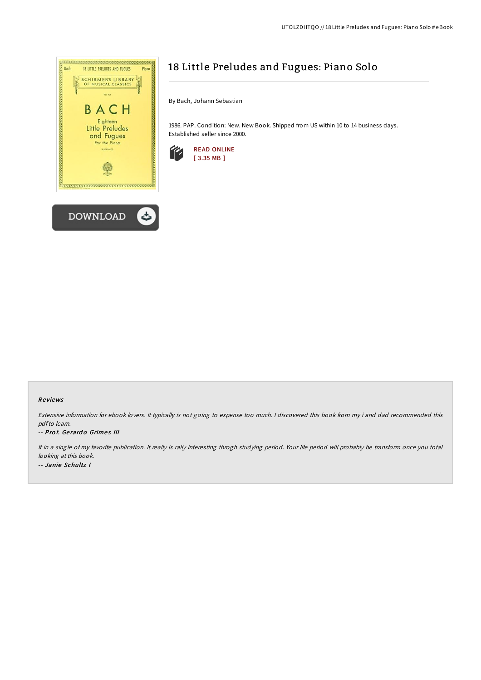

# 18 Little Preludes and Fugues: Piano Solo

By Bach, Johann Sebastian

1986. PAP. Condition: New. New Book. Shipped from US within 10 to 14 business days. Established seller since 2000.



#### Re views

Extensive information for ebook lovers. It typically is not going to expense too much. <sup>I</sup> discovered this book from my i and dad recommended this pdfto learn.

#### -- Prof. Gerardo Grimes III

It in <sup>a</sup> single of my favorite publication. It really is rally interesting throgh studying period. Your life period will probably be transform once you total looking at this book. -- Janie Schultz I